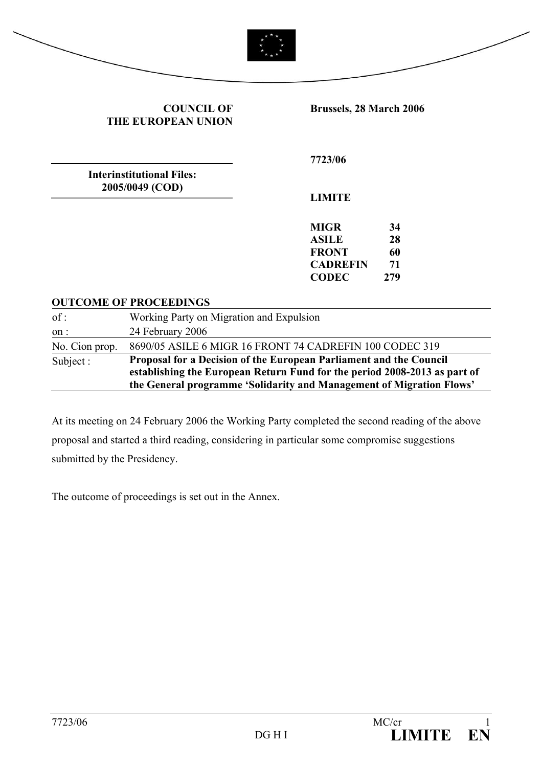

#### **COUNCIL OF THE EUROPEAN UNION**

**Brussels, 28 March 2006** 

**Interinstitutional Files: 2005/0049 (COD)** 

**7723/06** 

**LIMITE** 

**MIGR 34 ASILE 28 FRONT 60 CADREFIN 71 CODEC 279** 

#### **OUTCOME OF PROCEEDINGS**

| of:            | Working Party on Migration and Expulsion                                                                                                                                                                                |
|----------------|-------------------------------------------------------------------------------------------------------------------------------------------------------------------------------------------------------------------------|
| on:            | 24 February 2006                                                                                                                                                                                                        |
| No. Cion prop. | 8690/05 ASILE 6 MIGR 16 FRONT 74 CADREFIN 100 CODEC 319                                                                                                                                                                 |
| Subject :      | Proposal for a Decision of the European Parliament and the Council<br>establishing the European Return Fund for the period 2008-2013 as part of<br>the General programme 'Solidarity and Management of Migration Flows' |

At its meeting on 24 February 2006 the Working Party completed the second reading of the above proposal and started a third reading, considering in particular some compromise suggestions submitted by the Presidency.

The outcome of proceedings is set out in the Annex.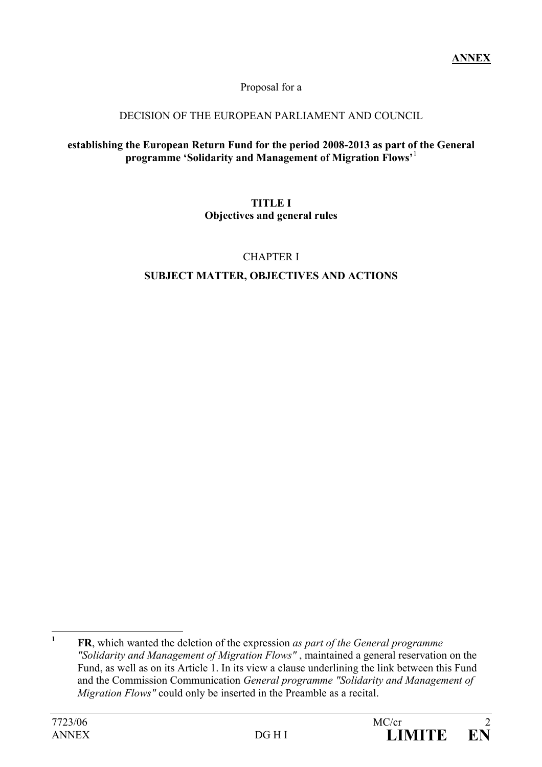Proposal for a

## DECISION OF THE EUROPEAN PARLIAMENT AND COUNCIL

#### **establishing the European Return Fund for the period 2008-2013 as part of the General programme 'Solidarity and Management of Migration Flows'**<sup>1</sup>

#### **TITLE I Objectives and general rules**

## CHAPTER I

# **SUBJECT MATTER, OBJECTIVES AND ACTIONS**

 **1 FR**, which wanted the deletion of the expression *as part of the General programme "Solidarity and Management of Migration Flows"* , maintained a general reservation on the Fund, as well as on its Article 1. In its view a clause underlining the link between this Fund and the Commission Communication *General programme "Solidarity and Management of Migration Flows"* could only be inserted in the Preamble as a recital.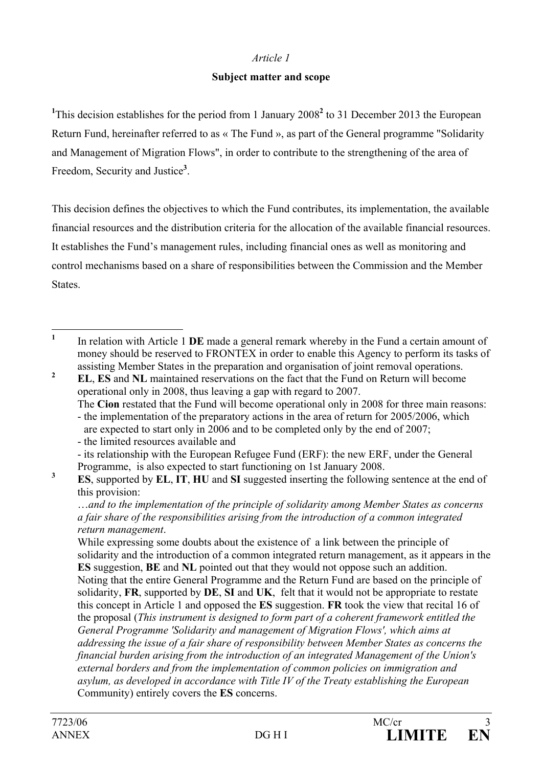#### **Subject matter and scope**

<sup>1</sup>This decision establishes for the period from 1 January 2008<sup>2</sup> to 31 December 2013 the European Return Fund, hereinafter referred to as « The Fund », as part of the General programme "Solidarity and Management of Migration Flows", in order to contribute to the strengthening of the area of Freedom, Security and Justice**<sup>3</sup>** .

This decision defines the objectives to which the Fund contributes, its implementation, the available financial resources and the distribution criteria for the allocation of the available financial resources. It establishes the Fund's management rules, including financial ones as well as monitoring and control mechanisms based on a share of responsibilities between the Commission and the Member **States**.

**<sup>2</sup> EL**, **ES** and **NL** maintained reservations on the fact that the Fund on Return will become operational only in 2008, thus leaving a gap with regard to 2007.

 The **Cion** restated that the Fund will become operational only in 2008 for three main reasons: - the implementation of the preparatory actions in the area of return for 2005/2006, which

are expected to start only in 2006 and to be completed only by the end of 2007;

- the limited resources available and
- its relationship with the European Refugee Fund (ERF): the new ERF, under the General Programme, is also expected to start functioning on 1st January 2008.

**3 ES**, supported by **EL**, **IT**, **HU** and **SI** suggested inserting the following sentence at the end of this provision:

 …*and to the implementation of the principle of solidarity among Member States as concerns a fair share of the responsibilities arising from the introduction of a common integrated return management*.

 While expressing some doubts about the existence of a link between the principle of solidarity and the introduction of a common integrated return management, as it appears in the **ES** suggestion, **BE** and **NL** pointed out that they would not oppose such an addition. Noting that the entire General Programme and the Return Fund are based on the principle of solidarity, **FR**, supported by **DE**, **SI** and **UK**, felt that it would not be appropriate to restate this concept in Article 1 and opposed the **ES** suggestion. **FR** took the view that recital 16 of the proposal (*This instrument is designed to form part of a coherent framework entitled the General Programme 'Solidarity and management of Migration Flows', which aims at addressing the issue of a fair share of responsibility between Member States as concerns the financial burden arising from the introduction of an integrated Management of the Union's external borders and from the implementation of common policies on immigration and asylum, as developed in accordance with Title IV of the Treaty establishing the European*  Community) entirely covers the **ES** concerns.

 **1** In relation with Article 1 **DE** made a general remark whereby in the Fund a certain amount of money should be reserved to FRONTEX in order to enable this Agency to perform its tasks of assisting Member States in the preparation and organisation of joint removal operations.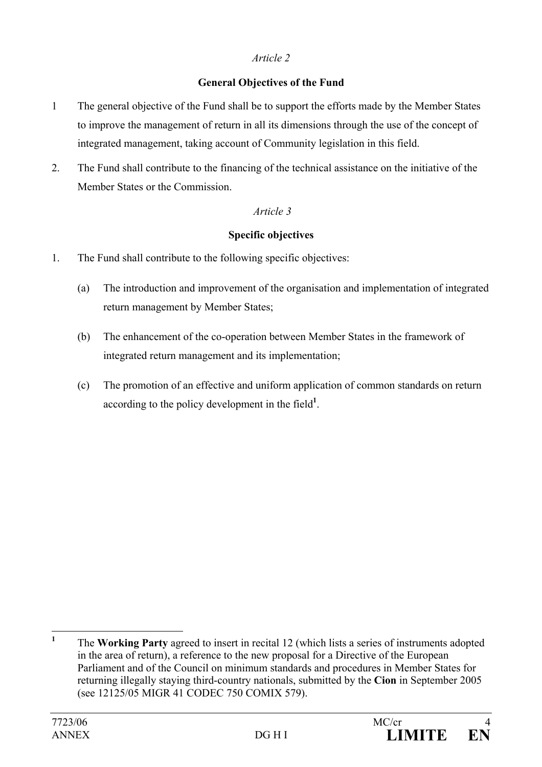## **General Objectives of the Fund**

- 1 The general objective of the Fund shall be to support the efforts made by the Member States to improve the management of return in all its dimensions through the use of the concept of integrated management, taking account of Community legislation in this field.
- 2. The Fund shall contribute to the financing of the technical assistance on the initiative of the Member States or the Commission.

#### *Article 3*

#### **Specific objectives**

- 1. The Fund shall contribute to the following specific objectives:
	- (a) The introduction and improvement of the organisation and implementation of integrated return management by Member States;
	- (b) The enhancement of the co-operation between Member States in the framework of integrated return management and its implementation;
	- (c) The promotion of an effective and uniform application of common standards on return according to the policy development in the field**<sup>1</sup>** .

 **1** The **Working Party** agreed to insert in recital 12 (which lists a series of instruments adopted in the area of return), a reference to the new proposal for a Directive of the European Parliament and of the Council on minimum standards and procedures in Member States for returning illegally staying third-country nationals, submitted by the **Cion** in September 2005 (see 12125/05 MIGR 41 CODEC 750 COMIX 579).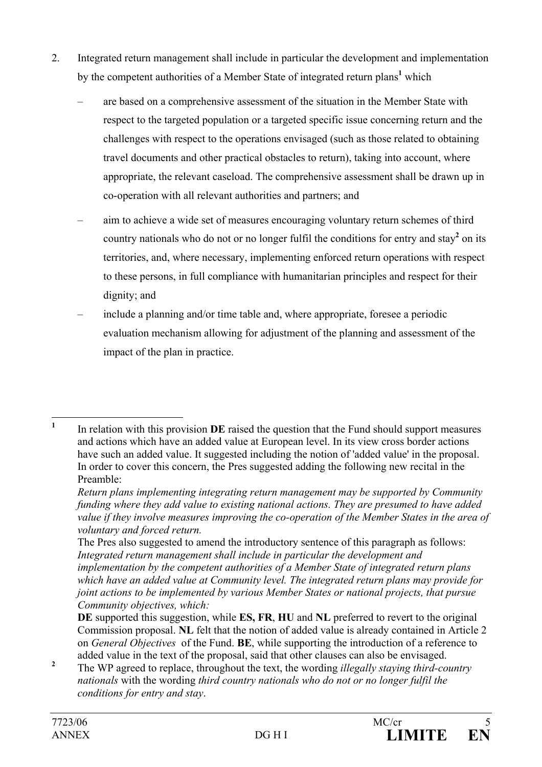- 2. Integrated return management shall include in particular the development and implementation by the competent authorities of a Member State of integrated return plans<sup>1</sup> which
	- are based on a comprehensive assessment of the situation in the Member State with respect to the targeted population or a targeted specific issue concerning return and the challenges with respect to the operations envisaged (such as those related to obtaining travel documents and other practical obstacles to return), taking into account, where appropriate, the relevant caseload. The comprehensive assessment shall be drawn up in co-operation with all relevant authorities and partners; and
	- aim to achieve a wide set of measures encouraging voluntary return schemes of third country nationals who do not or no longer fulfil the conditions for entry and stay<sup>2</sup> on its territories, and, where necessary, implementing enforced return operations with respect to these persons, in full compliance with humanitarian principles and respect for their dignity; and
	- include a planning and/or time table and, where appropriate, foresee a periodic evaluation mechanism allowing for adjustment of the planning and assessment of the impact of the plan in practice.

 **1** In relation with this provision **DE** raised the question that the Fund should support measures and actions which have an added value at European level. In its view cross border actions have such an added value. It suggested including the notion of 'added value' in the proposal. In order to cover this concern, the Pres suggested adding the following new recital in the Preamble:

*Return plans implementing integrating return management may be supported by Community funding where they add value to existing national actions. They are presumed to have added value if they involve measures improving the co-operation of the Member States in the area of voluntary and forced return.* 

The Pres also suggested to amend the introductory sentence of this paragraph as follows: *Integrated return management shall include in particular the development and implementation by the competent authorities of a Member State of integrated return plans which have an added value at Community level. The integrated return plans may provide for joint actions to be implemented by various Member States or national projects, that pursue Community objectives, which:* 

**DE** supported this suggestion, while **ES, FR**, **HU** and **NL** preferred to revert to the original Commission proposal. **NL** felt that the notion of added value is already contained in Article 2 on *General Objectives* of the Fund. **BE**, while supporting the introduction of a reference to added value in the text of the proposal, said that other clauses can also be envisaged.

**<sup>2</sup>** The WP agreed to replace, throughout the text, the wording *illegally staying third-country nationals* with the wording *third country nationals who do not or no longer fulfil the conditions for entry and stay*.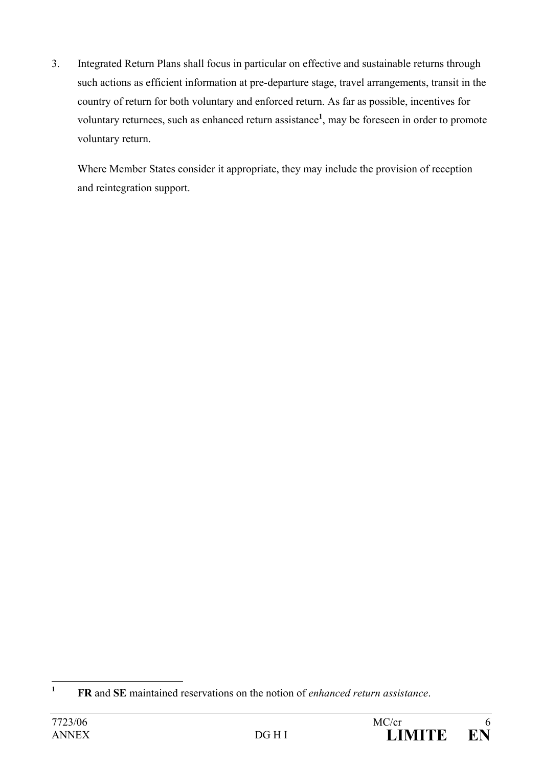3. Integrated Return Plans shall focus in particular on effective and sustainable returns through such actions as efficient information at pre-departure stage, travel arrangements, transit in the country of return for both voluntary and enforced return. As far as possible, incentives for voluntary returnees, such as enhanced return assistance**<sup>1</sup>** , may be foreseen in order to promote voluntary return.

Where Member States consider it appropriate, they may include the provision of reception and reintegration support.



 **1 FR** and **SE** maintained reservations on the notion of *enhanced return assistance*.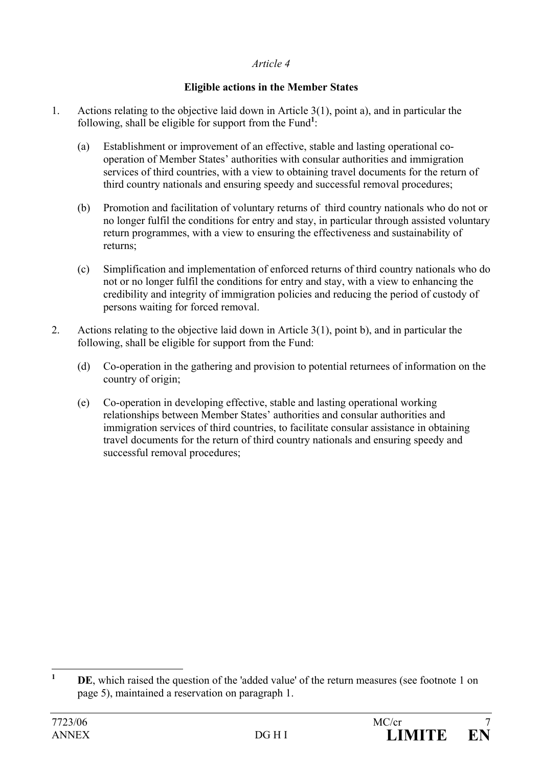## **Eligible actions in the Member States**

- 1. Actions relating to the objective laid down in Article 3(1), point a), and in particular the following, shall be eligible for support from the Fund<sup>1</sup>:
	- (a) Establishment or improvement of an effective, stable and lasting operational cooperation of Member States' authorities with consular authorities and immigration services of third countries, with a view to obtaining travel documents for the return of third country nationals and ensuring speedy and successful removal procedures;
	- (b) Promotion and facilitation of voluntary returns of third country nationals who do not or no longer fulfil the conditions for entry and stay, in particular through assisted voluntary return programmes, with a view to ensuring the effectiveness and sustainability of returns;
	- (c) Simplification and implementation of enforced returns of third country nationals who do not or no longer fulfil the conditions for entry and stay, with a view to enhancing the credibility and integrity of immigration policies and reducing the period of custody of persons waiting for forced removal.
- 2. Actions relating to the objective laid down in Article 3(1), point b), and in particular the following, shall be eligible for support from the Fund:
	- (d) Co-operation in the gathering and provision to potential returnees of information on the country of origin;
	- (e) Co-operation in developing effective, stable and lasting operational working relationships between Member States' authorities and consular authorities and immigration services of third countries, to facilitate consular assistance in obtaining travel documents for the return of third country nationals and ensuring speedy and successful removal procedures;

 **1 DE**, which raised the question of the 'added value' of the return measures (see footnote 1 on page 5), maintained a reservation on paragraph 1.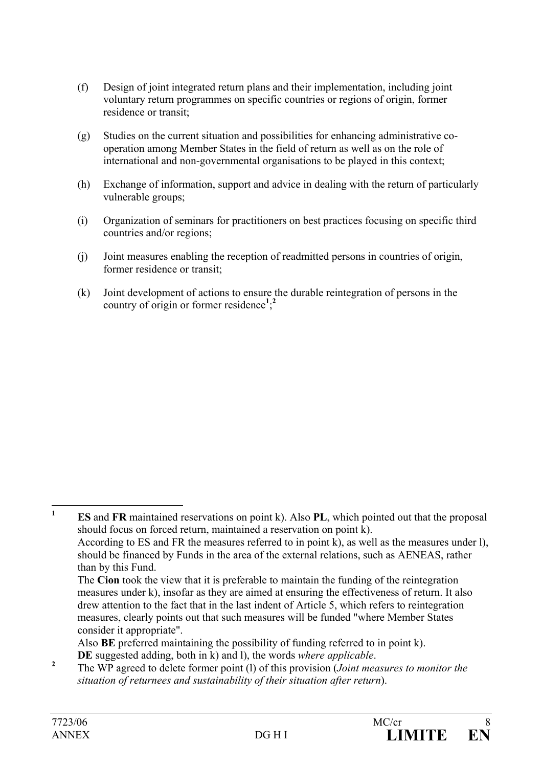- (f) Design of joint integrated return plans and their implementation, including joint voluntary return programmes on specific countries or regions of origin, former residence or transit;
- (g) Studies on the current situation and possibilities for enhancing administrative cooperation among Member States in the field of return as well as on the role of international and non-governmental organisations to be played in this context;
- (h) Exchange of information, support and advice in dealing with the return of particularly vulnerable groups;
- (i) Organization of seminars for practitioners on best practices focusing on specific third countries and/or regions;
- (j) Joint measures enabling the reception of readmitted persons in countries of origin, former residence or transit;
- (k) Joint development of actions to ensure the durable reintegration of persons in the country of origin or former residence**<sup>1</sup>** ; **2**

measures, clearly points out that such measures will be funded "where Member States consider it appropriate".

 Also **BE** preferred maintaining the possibility of funding referred to in point k). **DE** suggested adding, both in k) and l), the words *where applicable*.

 The WP agreed to delete former point (l) of this provision (*Joint measures to monitor the situation of returnees and sustainability of their situation after return*).

 **1 ES** and **FR** maintained reservations on point k). Also **PL**, which pointed out that the proposal should focus on forced return, maintained a reservation on point k). According to ES and FR the measures referred to in point k), as well as the measures under l), should be financed by Funds in the area of the external relations, such as AENEAS, rather than by this Fund. The **Cion** took the view that it is preferable to maintain the funding of the reintegration measures under k), insofar as they are aimed at ensuring the effectiveness of return. It also drew attention to the fact that in the last indent of Article 5, which refers to reintegration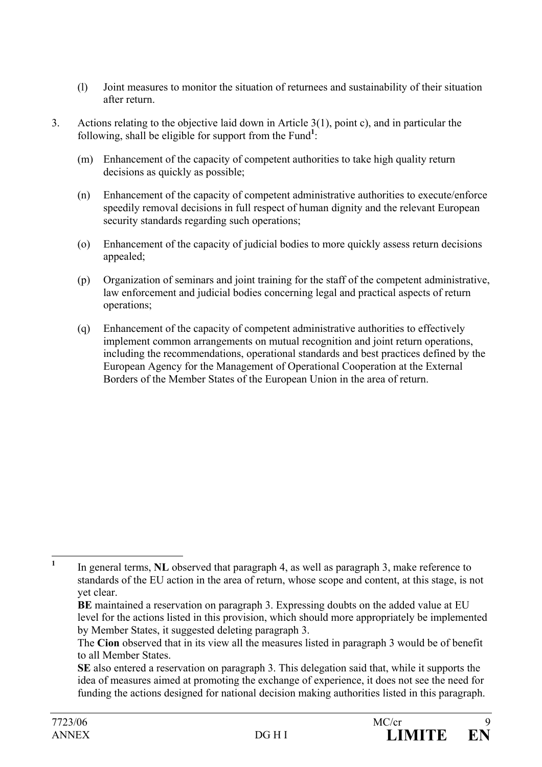- (l) Joint measures to monitor the situation of returnees and sustainability of their situation after return.
- 3. Actions relating to the objective laid down in Article 3(1), point c), and in particular the following, shall be eligible for support from the Fund<sup>1</sup>:
	- (m) Enhancement of the capacity of competent authorities to take high quality return decisions as quickly as possible;
	- (n) Enhancement of the capacity of competent administrative authorities to execute/enforce speedily removal decisions in full respect of human dignity and the relevant European security standards regarding such operations;
	- (o) Enhancement of the capacity of judicial bodies to more quickly assess return decisions appealed;
	- (p) Organization of seminars and joint training for the staff of the competent administrative, law enforcement and judicial bodies concerning legal and practical aspects of return operations;
	- (q) Enhancement of the capacity of competent administrative authorities to effectively implement common arrangements on mutual recognition and joint return operations, including the recommendations, operational standards and best practices defined by the European Agency for the Management of Operational Cooperation at the External Borders of the Member States of the European Union in the area of return.

 **1** In general terms, **NL** observed that paragraph 4, as well as paragraph 3, make reference to standards of the EU action in the area of return, whose scope and content, at this stage, is not yet clear.

**BE** maintained a reservation on paragraph 3. Expressing doubts on the added value at EU level for the actions listed in this provision, which should more appropriately be implemented by Member States, it suggested deleting paragraph 3.

The **Cion** observed that in its view all the measures listed in paragraph 3 would be of benefit to all Member States.

**SE** also entered a reservation on paragraph 3. This delegation said that, while it supports the idea of measures aimed at promoting the exchange of experience, it does not see the need for funding the actions designed for national decision making authorities listed in this paragraph.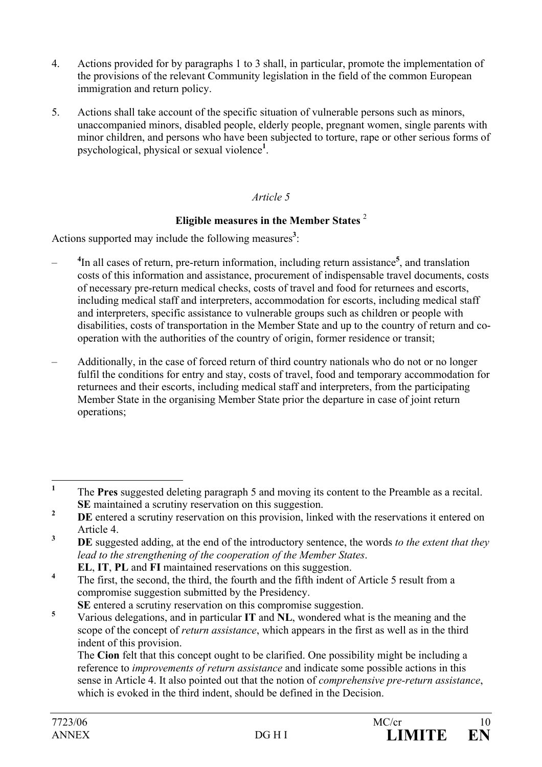- 4. Actions provided for by paragraphs 1 to 3 shall, in particular, promote the implementation of the provisions of the relevant Community legislation in the field of the common European immigration and return policy.
- 5. Actions shall take account of the specific situation of vulnerable persons such as minors, unaccompanied minors, disabled people, elderly people, pregnant women, single parents with minor children, and persons who have been subjected to torture, rape or other serious forms of psychological, physical or sexual violence**<sup>1</sup>** .

## **Eligible measures in the Member States** <sup>2</sup>

Actions supported may include the following measures<sup>3</sup>:

- **<sup>4</sup>** In all cases of return, pre-return information, including return assistance**<sup>5</sup>** , and translation costs of this information and assistance, procurement of indispensable travel documents, costs of necessary pre-return medical checks, costs of travel and food for returnees and escorts, including medical staff and interpreters, accommodation for escorts, including medical staff and interpreters, specific assistance to vulnerable groups such as children or people with disabilities, costs of transportation in the Member State and up to the country of return and cooperation with the authorities of the country of origin, former residence or transit;
- Additionally, in the case of forced return of third country nationals who do not or no longer fulfil the conditions for entry and stay, costs of travel, food and temporary accommodation for returnees and their escorts, including medical staff and interpreters, from the participating Member State in the organising Member State prior the departure in case of joint return operations;

 **1** The **Pres** suggested deleting paragraph 5 and moving its content to the Preamble as a recital. **SE** maintained a scrutiny reservation on this suggestion.

**<sup>2</sup> DE** entered a scrutiny reservation on this provision, linked with the reservations it entered on Article 4.

**<sup>3</sup> DE** suggested adding, at the end of the introductory sentence, the words *to the extent that they lead to the strengthening of the cooperation of the Member States*. **EL**, **IT**, **PL** and **FI** maintained reservations on this suggestion.

**<sup>4</sup>** The first, the second, the third, the fourth and the fifth indent of Article 5 result from a compromise suggestion submitted by the Presidency.

**SE** entered a scrutiny reservation on this compromise suggestion.

**<sup>5</sup>** Various delegations, and in particular **IT** and **NL**, wondered what is the meaning and the scope of the concept of *return assistance*, which appears in the first as well as in the third indent of this provision.

The **Cion** felt that this concept ought to be clarified. One possibility might be including a reference to *improvements of return assistance* and indicate some possible actions in this sense in Article 4. It also pointed out that the notion of *comprehensive pre-return assistance*, which is evoked in the third indent, should be defined in the Decision.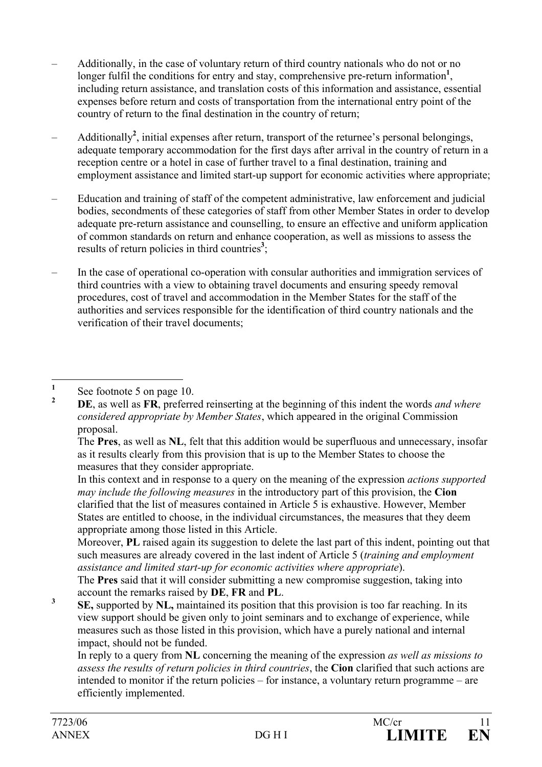- Additionally, in the case of voluntary return of third country nationals who do not or no longer fulfil the conditions for entry and stay, comprehensive pre-return information<sup>1</sup>, including return assistance, and translation costs of this information and assistance, essential expenses before return and costs of transportation from the international entry point of the country of return to the final destination in the country of return;
- Additionally**<sup>2</sup>** , initial expenses after return, transport of the returnee's personal belongings, adequate temporary accommodation for the first days after arrival in the country of return in a reception centre or a hotel in case of further travel to a final destination, training and employment assistance and limited start-up support for economic activities where appropriate;
- Education and training of staff of the competent administrative, law enforcement and judicial bodies, secondments of these categories of staff from other Member States in order to develop adequate pre-return assistance and counselling, to ensure an effective and uniform application of common standards on return and enhance cooperation, as well as missions to assess the results of return policies in third countries<sup>3</sup>;
- In the case of operational co-operation with consular authorities and immigration services of third countries with a view to obtaining travel documents and ensuring speedy removal procedures, cost of travel and accommodation in the Member States for the staff of the authorities and services responsible for the identification of third country nationals and the verification of their travel documents;

 The **Pres**, as well as **NL**, felt that this addition would be superfluous and unnecessary, insofar as it results clearly from this provision that is up to the Member States to choose the measures that they consider appropriate.

 In this context and in response to a query on the meaning of the expression *actions supported may include the following measures* in the introductory part of this provision, the **Cion** clarified that the list of measures contained in Article 5 is exhaustive. However, Member States are entitled to choose, in the individual circumstances, the measures that they deem appropriate among those listed in this Article.

 Moreover, **PL** raised again its suggestion to delete the last part of this indent, pointing out that such measures are already covered in the last indent of Article 5 (*training and employment assistance and limited start-up for economic activities where appropriate*).

 The **Pres** said that it will consider submitting a new compromise suggestion, taking into account the remarks raised by **DE**, **FR** and **PL**. **<sup>3</sup>**

 **SE,** supported by **NL,** maintained its position that this provision is too far reaching. In its view support should be given only to joint seminars and to exchange of experience, while measures such as those listed in this provision, which have a purely national and internal impact, should not be funded.

 In reply to a query from **NL** concerning the meaning of the expression *as well as missions to assess the results of return policies in third countries*, the **Cion** clarified that such actions are intended to monitor if the return policies – for instance, a voluntary return programme – are efficiently implemented.

 **1** See footnote 5 on page 10.

**<sup>2</sup> DE**, as well as **FR**, preferred reinserting at the beginning of this indent the words *and where considered appropriate by Member States*, which appeared in the original Commission proposal.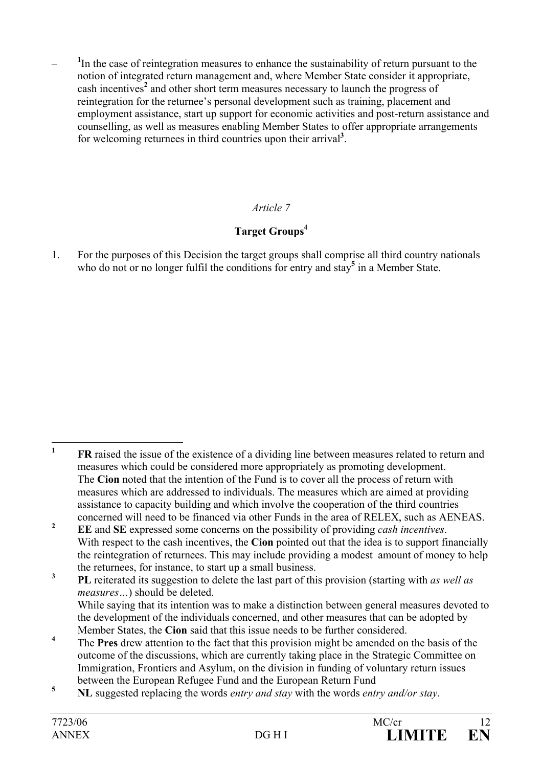<sup>1</sup>In the case of reintegration measures to enhance the sustainability of return pursuant to the notion of integrated return management and, where Member State consider it appropriate, cash incentives<sup>2</sup> and other short term measures necessary to launch the progress of reintegration for the returnee's personal development such as training, placement and employment assistance, start up support for economic activities and post-return assistance and counselling, as well as measures enabling Member States to offer appropriate arrangements for welcoming returnees in third countries upon their arrival**<sup>3</sup>** .

# *Article 7*

# **Target Groups**<sup>4</sup>

1. For the purposes of this Decision the target groups shall comprise all third country nationals who do not or no longer fulfil the conditions for entry and stay<sup>5</sup> in a Member State.

 **1 FR** raised the issue of the existence of a dividing line between measures related to return and measures which could be considered more appropriately as promoting development. The **Cion** noted that the intention of the Fund is to cover all the process of return with measures which are addressed to individuals. The measures which are aimed at providing assistance to capacity building and which involve the cooperation of the third countries concerned will need to be financed via other Funds in the area of RELEX, such as AENEAS.

**<sup>2</sup> EE** and **SE** expressed some concerns on the possibility of providing *cash incentives*. With respect to the cash incentives, the **Cion** pointed out that the idea is to support financially the reintegration of returnees. This may include providing a modest amount of money to help the returnees, for instance, to start up a small business.

**<sup>3</sup> PL** reiterated its suggestion to delete the last part of this provision (starting with *as well as measures…*) should be deleted. While saying that its intention was to make a distinction between general measures devoted to the development of the individuals concerned, and other measures that can be adopted by Member States, the **Cion** said that this issue needs to be further considered.

**<sup>4</sup>** The **Pres** drew attention to the fact that this provision might be amended on the basis of the outcome of the discussions, which are currently taking place in the Strategic Committee on Immigration, Frontiers and Asylum, on the division in funding of voluntary return issues between the European Refugee Fund and the European Return Fund

**<sup>5</sup> NL** suggested replacing the words *entry and stay* with the words *entry and/or stay*.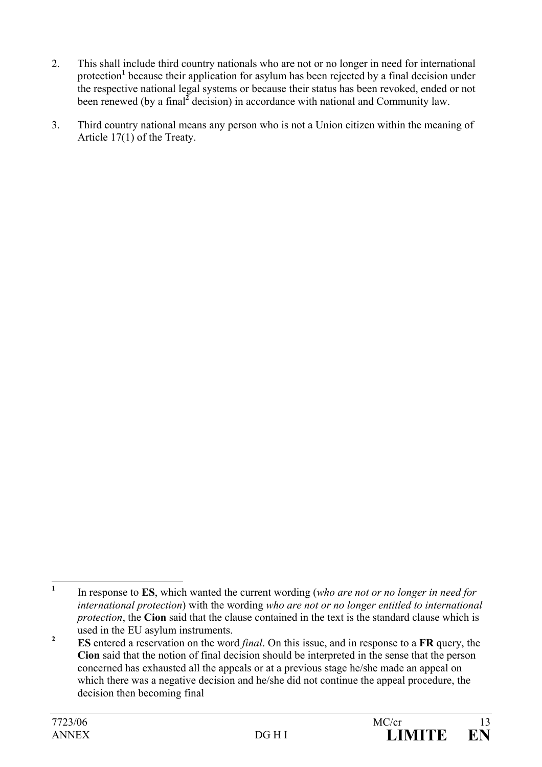- 2. This shall include third country nationals who are not or no longer in need for international protection<sup>1</sup> because their application for asylum has been rejected by a final decision under the respective national legal systems or because their status has been revoked, ended or not been renewed (by a final<sup>2</sup> decision) in accordance with national and Community law.
- 3. Third country national means any person who is not a Union citizen within the meaning of Article 17(1) of the Treaty.

 **1** In response to **ES**, which wanted the current wording (*who are not or no longer in need for international protection*) with the wording *who are not or no longer entitled to international protection*, the **Cion** said that the clause contained in the text is the standard clause which is used in the EU asylum instruments.

**<sup>2</sup> ES** entered a reservation on the word *final*. On this issue, and in response to a **FR** query, the **Cion** said that the notion of final decision should be interpreted in the sense that the person concerned has exhausted all the appeals or at a previous stage he/she made an appeal on which there was a negative decision and he/she did not continue the appeal procedure, the decision then becoming final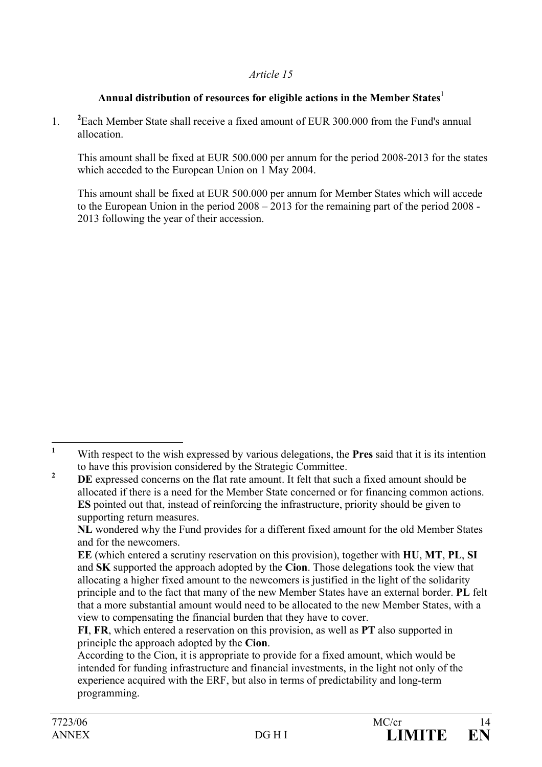## Annual distribution of resources for eligible actions in the Member States $^{\rm l}$

1. **<sup>2</sup>** <sup>2</sup> Each Member State shall receive a fixed amount of EUR 300,000 from the Fund's annual allocation.

This amount shall be fixed at EUR 500.000 per annum for the period 2008-2013 for the states which acceded to the European Union on 1 May 2004.

This amount shall be fixed at EUR 500.000 per annum for Member States which will accede to the European Union in the period 2008 – 2013 for the remaining part of the period 2008 - 2013 following the year of their accession.

 **1** With respect to the wish expressed by various delegations, the **Pres** said that it is its intention to have this provision considered by the Strategic Committee.

**<sup>2</sup> DE** expressed concerns on the flat rate amount. It felt that such a fixed amount should be allocated if there is a need for the Member State concerned or for financing common actions. **ES** pointed out that, instead of reinforcing the infrastructure, priority should be given to supporting return measures.

**NL** wondered why the Fund provides for a different fixed amount for the old Member States and for the newcomers.

**EE** (which entered a scrutiny reservation on this provision), together with **HU**, **MT**, **PL**, **SI** and **SK** supported the approach adopted by the **Cion**. Those delegations took the view that allocating a higher fixed amount to the newcomers is justified in the light of the solidarity principle and to the fact that many of the new Member States have an external border. **PL** felt that a more substantial amount would need to be allocated to the new Member States, with a view to compensating the financial burden that they have to cover.

**FI**, **FR**, which entered a reservation on this provision, as well as **PT** also supported in principle the approach adopted by the **Cion**.

According to the Cion, it is appropriate to provide for a fixed amount, which would be intended for funding infrastructure and financial investments, in the light not only of the experience acquired with the ERF, but also in terms of predictability and long-term programming.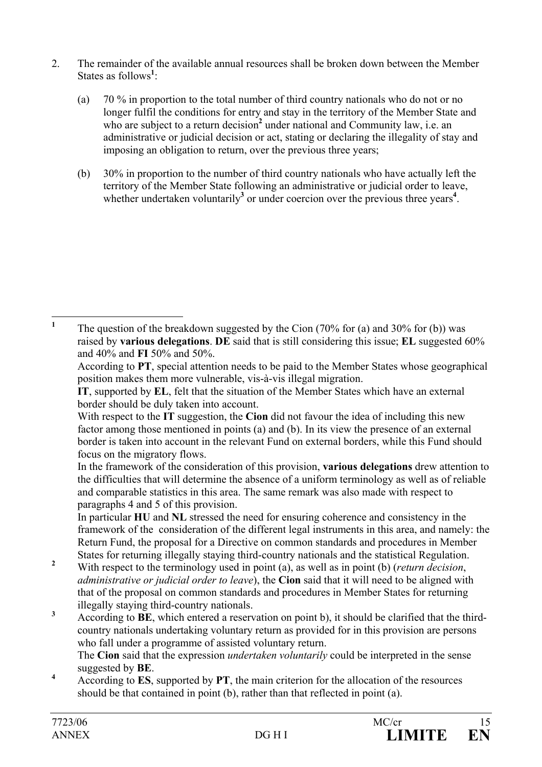- 2. The remainder of the available annual resources shall be broken down between the Member States as follows<sup>1</sup>:
	- (a) 70 % in proportion to the total number of third country nationals who do not or no longer fulfil the conditions for entry and stay in the territory of the Member State and who are subject to a return decision<sup>2</sup> under national and Community law, i.e. an administrative or judicial decision or act, stating or declaring the illegality of stay and imposing an obligation to return, over the previous three years;
	- (b) 30% in proportion to the number of third country nationals who have actually left the territory of the Member State following an administrative or judicial order to leave, whether undertaken voluntarily<sup>3</sup> or under coercion over the previous three years<sup>4</sup>.

 The **Cion** said that the expression *undertaken voluntarily* could be interpreted in the sense suggested by **BE**. **<sup>4</sup>**

 According to **ES**, supported by **PT**, the main criterion for the allocation of the resources should be that contained in point (b), rather than that reflected in point (a).

 **1** The question of the breakdown suggested by the Cion (70% for (a) and 30% for (b)) was raised by **various delegations**. **DE** said that is still considering this issue; **EL** suggested 60% and 40% and **FI** 50% and 50%.

According to **PT**, special attention needs to be paid to the Member States whose geographical position makes them more vulnerable, vis-à-vis illegal migration.

**IT**, supported by **EL**, felt that the situation of the Member States which have an external border should be duly taken into account.

With respect to the **IT** suggestion, the **Cion** did not favour the idea of including this new factor among those mentioned in points (a) and (b). In its view the presence of an external border is taken into account in the relevant Fund on external borders, while this Fund should focus on the migratory flows.

In the framework of the consideration of this provision, **various delegations** drew attention to the difficulties that will determine the absence of a uniform terminology as well as of reliable and comparable statistics in this area. The same remark was also made with respect to paragraphs 4 and 5 of this provision.

In particular **HU** and **NL** stressed the need for ensuring coherence and consistency in the framework of the consideration of the different legal instruments in this area, and namely: the Return Fund, the proposal for a Directive on common standards and procedures in Member States for returning illegally staying third-country nationals and the statistical Regulation.

**<sup>2</sup>** With respect to the terminology used in point (a), as well as in point (b) (*return decision*, *administrative or judicial order to leave*), the **Cion** said that it will need to be aligned with that of the proposal on common standards and procedures in Member States for returning illegally staying third-country nationals.

**<sup>3</sup>** According to **BE**, which entered a reservation on point b), it should be clarified that the thirdcountry nationals undertaking voluntary return as provided for in this provision are persons who fall under a programme of assisted voluntary return.